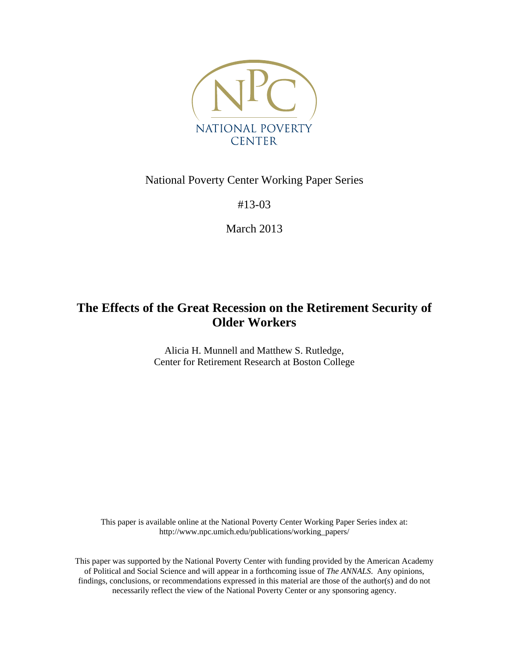

# National Poverty Center Working Paper Series

#13-03

March 2013

# **The Effects of the Great Recession on the Retirement Security of Older Workers**

Alicia H. Munnell and Matthew S. Rutledge, Center for Retirement Research at Boston College

This paper is available online at the National Poverty Center Working Paper Series index at: http://www.npc.umich.edu/publications/working\_papers/

This paper was supported by the National Poverty Center with funding provided by the American Academy of Political and Social Science and will appear in a forthcoming issue of *The ANNALS*. Any opinions, findings, conclusions, or recommendations expressed in this material are those of the author(s) and do not necessarily reflect the view of the National Poverty Center or any sponsoring agency.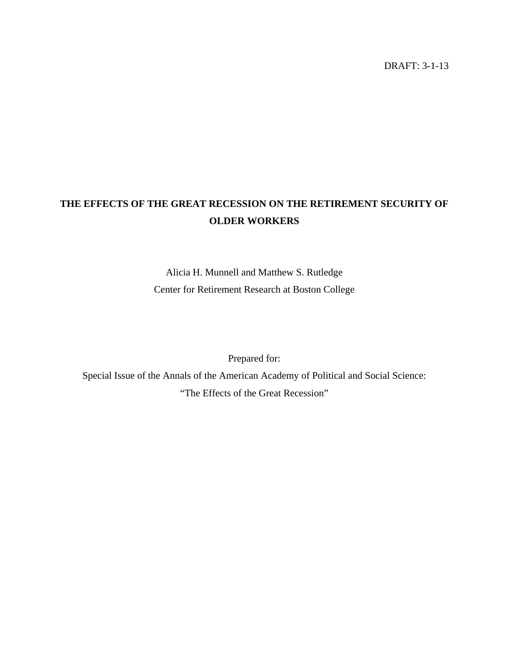DRAFT: 3-1-13

# **THE EFFECTS OF THE GREAT RECESSION ON THE RETIREMENT SECURITY OF OLDER WORKERS**

Alicia H. Munnell and Matthew S. Rutledge Center for Retirement Research at Boston College

Prepared for:

Special Issue of the Annals of the American Academy of Political and Social Science: "The Effects of the Great Recession"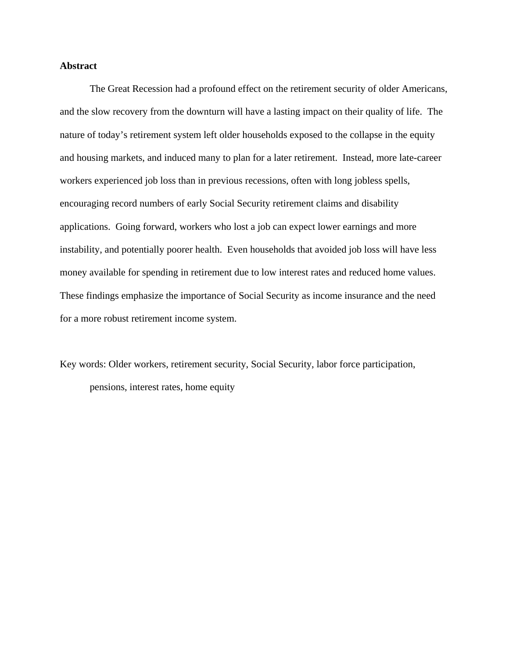# **Abstract**

The Great Recession had a profound effect on the retirement security of older Americans, and the slow recovery from the downturn will have a lasting impact on their quality of life. The nature of today's retirement system left older households exposed to the collapse in the equity and housing markets, and induced many to plan for a later retirement. Instead, more late-career workers experienced job loss than in previous recessions, often with long jobless spells, encouraging record numbers of early Social Security retirement claims and disability applications. Going forward, workers who lost a job can expect lower earnings and more instability, and potentially poorer health. Even households that avoided job loss will have less money available for spending in retirement due to low interest rates and reduced home values. These findings emphasize the importance of Social Security as income insurance and the need for a more robust retirement income system.

Key words: Older workers, retirement security, Social Security, labor force participation, pensions, interest rates, home equity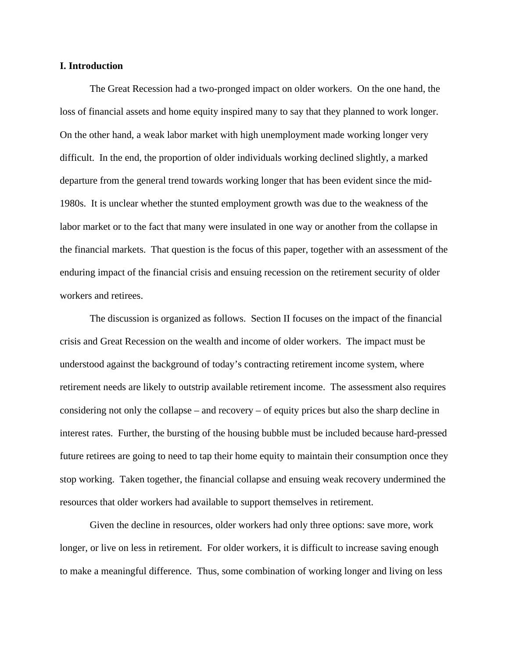# **I. Introduction**

The Great Recession had a two-pronged impact on older workers. On the one hand, the loss of financial assets and home equity inspired many to say that they planned to work longer. On the other hand, a weak labor market with high unemployment made working longer very difficult. In the end, the proportion of older individuals working declined slightly, a marked departure from the general trend towards working longer that has been evident since the mid-1980s. It is unclear whether the stunted employment growth was due to the weakness of the labor market or to the fact that many were insulated in one way or another from the collapse in the financial markets. That question is the focus of this paper, together with an assessment of the enduring impact of the financial crisis and ensuing recession on the retirement security of older workers and retirees.

The discussion is organized as follows. Section II focuses on the impact of the financial crisis and Great Recession on the wealth and income of older workers. The impact must be understood against the background of today's contracting retirement income system, where retirement needs are likely to outstrip available retirement income. The assessment also requires considering not only the collapse – and recovery – of equity prices but also the sharp decline in interest rates. Further, the bursting of the housing bubble must be included because hard-pressed future retirees are going to need to tap their home equity to maintain their consumption once they stop working. Taken together, the financial collapse and ensuing weak recovery undermined the resources that older workers had available to support themselves in retirement.

 Given the decline in resources, older workers had only three options: save more, work longer, or live on less in retirement. For older workers, it is difficult to increase saving enough to make a meaningful difference. Thus, some combination of working longer and living on less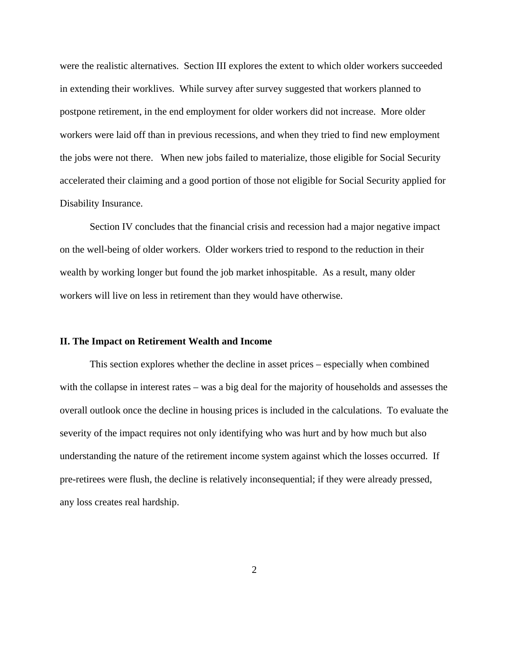were the realistic alternatives. Section III explores the extent to which older workers succeeded in extending their worklives. While survey after survey suggested that workers planned to postpone retirement, in the end employment for older workers did not increase. More older workers were laid off than in previous recessions, and when they tried to find new employment the jobs were not there. When new jobs failed to materialize, those eligible for Social Security accelerated their claiming and a good portion of those not eligible for Social Security applied for Disability Insurance.

 Section IV concludes that the financial crisis and recession had a major negative impact on the well-being of older workers. Older workers tried to respond to the reduction in their wealth by working longer but found the job market inhospitable. As a result, many older workers will live on less in retirement than they would have otherwise.

# **II. The Impact on Retirement Wealth and Income**

This section explores whether the decline in asset prices – especially when combined with the collapse in interest rates – was a big deal for the majority of households and assesses the overall outlook once the decline in housing prices is included in the calculations. To evaluate the severity of the impact requires not only identifying who was hurt and by how much but also understanding the nature of the retirement income system against which the losses occurred. If pre-retirees were flush, the decline is relatively inconsequential; if they were already pressed, any loss creates real hardship.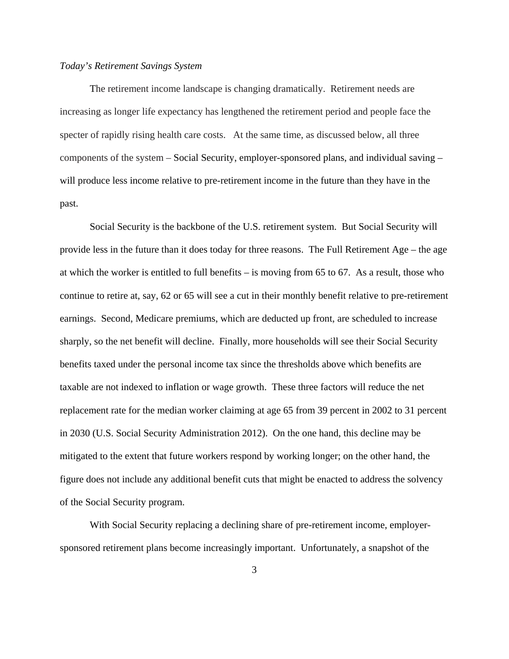#### *Today's Retirement Savings System*

The retirement income landscape is changing dramatically. Retirement needs are increasing as longer life expectancy has lengthened the retirement period and people face the specter of rapidly rising health care costs. At the same time, as discussed below, all three components of the system – Social Security, employer-sponsored plans, and individual saving – will produce less income relative to pre-retirement income in the future than they have in the past.

Social Security is the backbone of the U.S. retirement system. But Social Security will provide less in the future than it does today for three reasons. The Full Retirement Age – the age at which the worker is entitled to full benefits – is moving from 65 to 67. As a result, those who continue to retire at, say, 62 or 65 will see a cut in their monthly benefit relative to pre-retirement earnings. Second, Medicare premiums, which are deducted up front, are scheduled to increase sharply, so the net benefit will decline. Finally, more households will see their Social Security benefits taxed under the personal income tax since the thresholds above which benefits are taxable are not indexed to inflation or wage growth. These three factors will reduce the net replacement rate for the median worker claiming at age 65 from 39 percent in 2002 to 31 percent in 2030 (U.S. Social Security Administration 2012). On the one hand, this decline may be mitigated to the extent that future workers respond by working longer; on the other hand, the figure does not include any additional benefit cuts that might be enacted to address the solvency of the Social Security program.

With Social Security replacing a declining share of pre-retirement income, employersponsored retirement plans become increasingly important. Unfortunately, a snapshot of the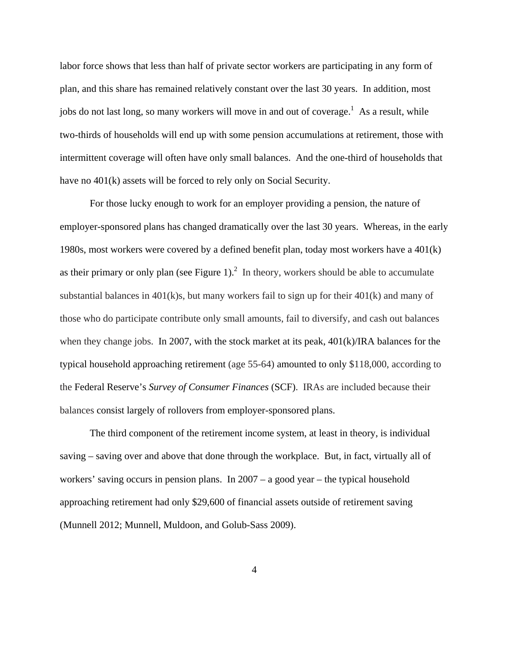labor force shows that less than half of private sector workers are participating in any form of plan, and this share has remained relatively constant over the last 30 years. In addition, most jobs do not last long, so many workers will move in and out of coverage.<sup>1</sup> As a result, while two-thirds of households will end up with some pension accumulations at retirement, those with intermittent coverage will often have only small balances. And the one-third of households that have no 401(k) assets will be forced to rely only on Social Security.

For those lucky enough to work for an employer providing a pension, the nature of employer-sponsored plans has changed dramatically over the last 30 years. Whereas, in the early 1980s, most workers were covered by a defined benefit plan, today most workers have a 401(k) as their primary or only plan (see Figure 1).<sup>2</sup> In theory, workers should be able to accumulate substantial balances in 401(k)s, but many workers fail to sign up for their 401(k) and many of those who do participate contribute only small amounts, fail to diversify, and cash out balances when they change jobs. In 2007, with the stock market at its peak, 401(k)/IRA balances for the typical household approaching retirement (age 55-64) amounted to only \$118,000, according to the Federal Reserve's *Survey of Consumer Finances* (SCF). IRAs are included because their balances consist largely of rollovers from employer-sponsored plans.

The third component of the retirement income system, at least in theory, is individual saving – saving over and above that done through the workplace. But, in fact, virtually all of workers' saving occurs in pension plans. In 2007 – a good year – the typical household approaching retirement had only \$29,600 of financial assets outside of retirement saving (Munnell 2012; Munnell, Muldoon, and Golub-Sass 2009).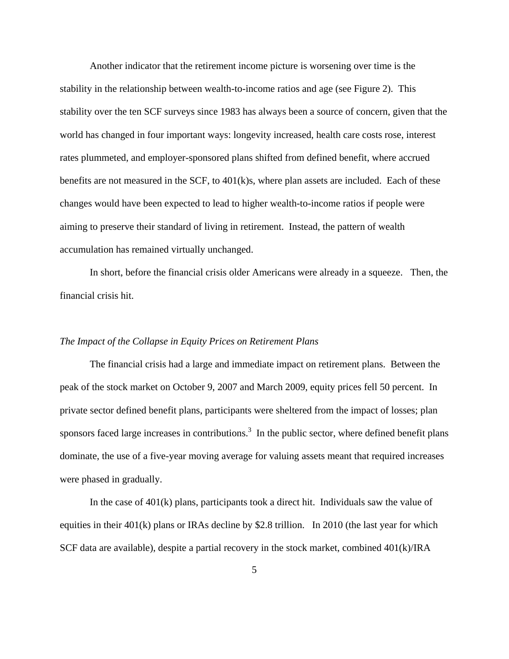Another indicator that the retirement income picture is worsening over time is the stability in the relationship between wealth-to-income ratios and age (see Figure 2). This stability over the ten SCF surveys since 1983 has always been a source of concern, given that the world has changed in four important ways: longevity increased, health care costs rose, interest rates plummeted, and employer-sponsored plans shifted from defined benefit, where accrued benefits are not measured in the SCF, to 401(k)s, where plan assets are included. Each of these changes would have been expected to lead to higher wealth-to-income ratios if people were aiming to preserve their standard of living in retirement. Instead, the pattern of wealth accumulation has remained virtually unchanged.

In short, before the financial crisis older Americans were already in a squeeze. Then, the financial crisis hit.

# *The Impact of the Collapse in Equity Prices on Retirement Plans*

The financial crisis had a large and immediate impact on retirement plans. Between the peak of the stock market on October 9, 2007 and March 2009, equity prices fell 50 percent. In private sector defined benefit plans, participants were sheltered from the impact of losses; plan sponsors faced large increases in contributions.<sup>3</sup> In the public sector, where defined benefit plans dominate, the use of a five-year moving average for valuing assets meant that required increases were phased in gradually.

In the case of 401(k) plans, participants took a direct hit. Individuals saw the value of equities in their 401(k) plans or IRAs decline by \$2.8 trillion. In 2010 (the last year for which SCF data are available), despite a partial recovery in the stock market, combined 401(k)/IRA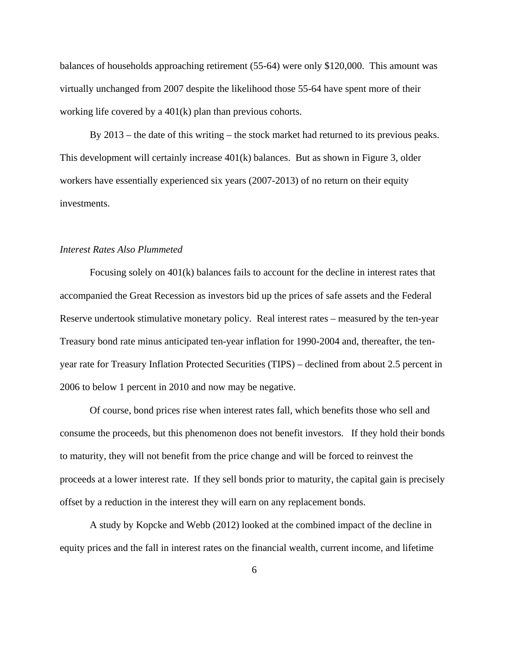balances of households approaching retirement (55-64) were only \$120,000. This amount was virtually unchanged from 2007 despite the likelihood those 55-64 have spent more of their working life covered by a 401(k) plan than previous cohorts.

By 2013 – the date of this writing – the stock market had returned to its previous peaks. This development will certainly increase 401(k) balances. But as shown in Figure 3, older workers have essentially experienced six years (2007-2013) of no return on their equity investments.

# *Interest Rates Also Plummeted*

Focusing solely on 401(k) balances fails to account for the decline in interest rates that accompanied the Great Recession as investors bid up the prices of safe assets and the Federal Reserve undertook stimulative monetary policy. Real interest rates – measured by the ten-year Treasury bond rate minus anticipated ten-year inflation for 1990-2004 and, thereafter, the tenyear rate for Treasury Inflation Protected Securities (TIPS) – declined from about 2.5 percent in 2006 to below 1 percent in 2010 and now may be negative.

Of course, bond prices rise when interest rates fall, which benefits those who sell and consume the proceeds, but this phenomenon does not benefit investors. If they hold their bonds to maturity, they will not benefit from the price change and will be forced to reinvest the proceeds at a lower interest rate. If they sell bonds prior to maturity, the capital gain is precisely offset by a reduction in the interest they will earn on any replacement bonds.

A study by Kopcke and Webb (2012) looked at the combined impact of the decline in equity prices and the fall in interest rates on the financial wealth, current income, and lifetime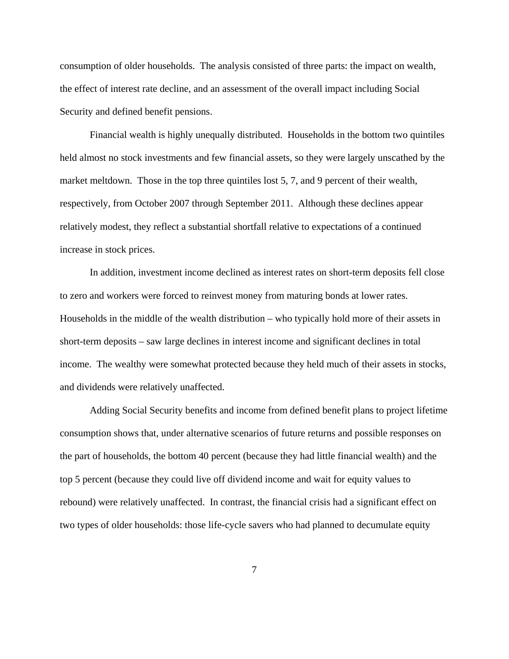consumption of older households. The analysis consisted of three parts: the impact on wealth, the effect of interest rate decline, and an assessment of the overall impact including Social Security and defined benefit pensions.

Financial wealth is highly unequally distributed. Households in the bottom two quintiles held almost no stock investments and few financial assets, so they were largely unscathed by the market meltdown. Those in the top three quintiles lost 5, 7, and 9 percent of their wealth, respectively, from October 2007 through September 2011. Although these declines appear relatively modest, they reflect a substantial shortfall relative to expectations of a continued increase in stock prices.

In addition, investment income declined as interest rates on short-term deposits fell close to zero and workers were forced to reinvest money from maturing bonds at lower rates. Households in the middle of the wealth distribution – who typically hold more of their assets in short-term deposits – saw large declines in interest income and significant declines in total income. The wealthy were somewhat protected because they held much of their assets in stocks, and dividends were relatively unaffected.

Adding Social Security benefits and income from defined benefit plans to project lifetime consumption shows that, under alternative scenarios of future returns and possible responses on the part of households, the bottom 40 percent (because they had little financial wealth) and the top 5 percent (because they could live off dividend income and wait for equity values to rebound) were relatively unaffected. In contrast, the financial crisis had a significant effect on two types of older households: those life-cycle savers who had planned to decumulate equity

7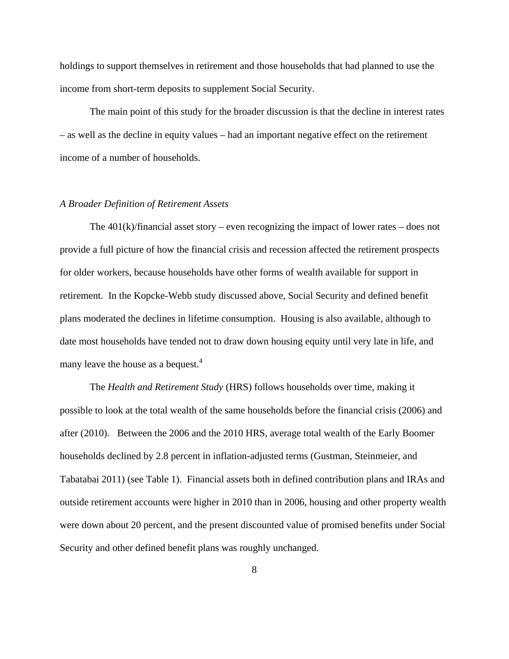holdings to support themselves in retirement and those households that had planned to use the income from short-term deposits to supplement Social Security.

The main point of this study for the broader discussion is that the decline in interest rates – as well as the decline in equity values – had an important negative effect on the retirement income of a number of households.

# *A Broader Definition of Retirement Assets*

The  $401(k)/\text{financial asset story} - \text{even recognizing the impact of lower rates} - \text{does not}$ provide a full picture of how the financial crisis and recession affected the retirement prospects for older workers, because households have other forms of wealth available for support in retirement. In the Kopcke-Webb study discussed above, Social Security and defined benefit plans moderated the declines in lifetime consumption. Housing is also available, although to date most households have tended not to draw down housing equity until very late in life, and many leave the house as a bequest.<sup>4</sup>

 The *Health and Retirement Study* (HRS) follows households over time, making it possible to look at the total wealth of the same households before the financial crisis (2006) and after (2010). Between the 2006 and the 2010 HRS, average total wealth of the Early Boomer households declined by 2.8 percent in inflation-adjusted terms (Gustman, Steinmeier, and Tabatabai 2011) (see Table 1). Financial assets both in defined contribution plans and IRAs and outside retirement accounts were higher in 2010 than in 2006, housing and other property wealth were down about 20 percent, and the present discounted value of promised benefits under Social Security and other defined benefit plans was roughly unchanged.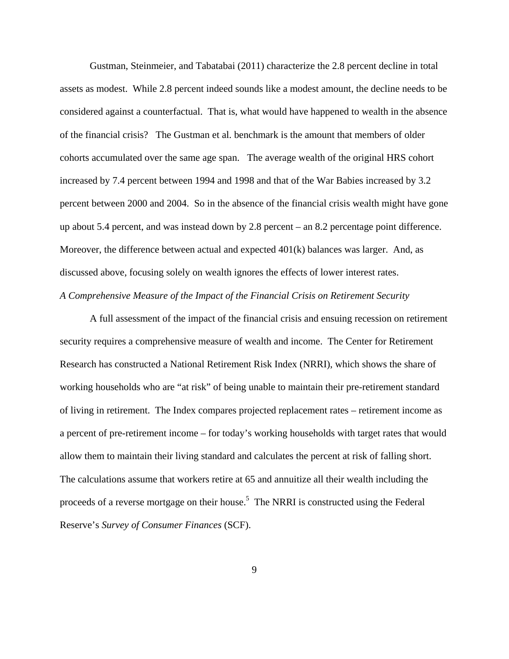Gustman, Steinmeier, and Tabatabai (2011) characterize the 2.8 percent decline in total assets as modest. While 2.8 percent indeed sounds like a modest amount, the decline needs to be considered against a counterfactual. That is, what would have happened to wealth in the absence of the financial crisis? The Gustman et al. benchmark is the amount that members of older cohorts accumulated over the same age span. The average wealth of the original HRS cohort increased by 7.4 percent between 1994 and 1998 and that of the War Babies increased by 3.2 percent between 2000 and 2004. So in the absence of the financial crisis wealth might have gone up about 5.4 percent, and was instead down by 2.8 percent – an 8.2 percentage point difference. Moreover, the difference between actual and expected 401(k) balances was larger. And, as discussed above, focusing solely on wealth ignores the effects of lower interest rates. *A Comprehensive Measure of the Impact of the Financial Crisis on Retirement Security* 

A full assessment of the impact of the financial crisis and ensuing recession on retirement security requires a comprehensive measure of wealth and income. The Center for Retirement Research has constructed a National Retirement Risk Index (NRRI), which shows the share of working households who are "at risk" of being unable to maintain their pre-retirement standard of living in retirement. The Index compares projected replacement rates – retirement income as a percent of pre-retirement income – for today's working households with target rates that would allow them to maintain their living standard and calculates the percent at risk of falling short. The calculations assume that workers retire at 65 and annuitize all their wealth including the proceeds of a reverse mortgage on their house.<sup>5</sup> The NRRI is constructed using the Federal Reserve's *Survey of Consumer Finances* (SCF).

9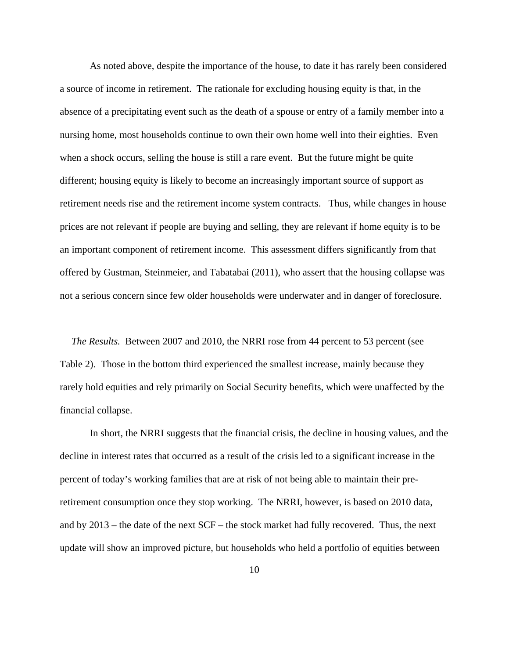As noted above, despite the importance of the house, to date it has rarely been considered a source of income in retirement. The rationale for excluding housing equity is that, in the absence of a precipitating event such as the death of a spouse or entry of a family member into a nursing home, most households continue to own their own home well into their eighties. Even when a shock occurs, selling the house is still a rare event. But the future might be quite different; housing equity is likely to become an increasingly important source of support as retirement needs rise and the retirement income system contracts. Thus, while changes in house prices are not relevant if people are buying and selling, they are relevant if home equity is to be an important component of retirement income. This assessment differs significantly from that offered by Gustman, Steinmeier, and Tabatabai (2011), who assert that the housing collapse was not a serious concern since few older households were underwater and in danger of foreclosure.

*The Results.* Between 2007 and 2010, the NRRI rose from 44 percent to 53 percent (see Table 2). Those in the bottom third experienced the smallest increase, mainly because they rarely hold equities and rely primarily on Social Security benefits, which were unaffected by the financial collapse.

In short, the NRRI suggests that the financial crisis, the decline in housing values, and the decline in interest rates that occurred as a result of the crisis led to a significant increase in the percent of today's working families that are at risk of not being able to maintain their preretirement consumption once they stop working. The NRRI, however, is based on 2010 data, and by 2013 – the date of the next SCF – the stock market had fully recovered. Thus, the next update will show an improved picture, but households who held a portfolio of equities between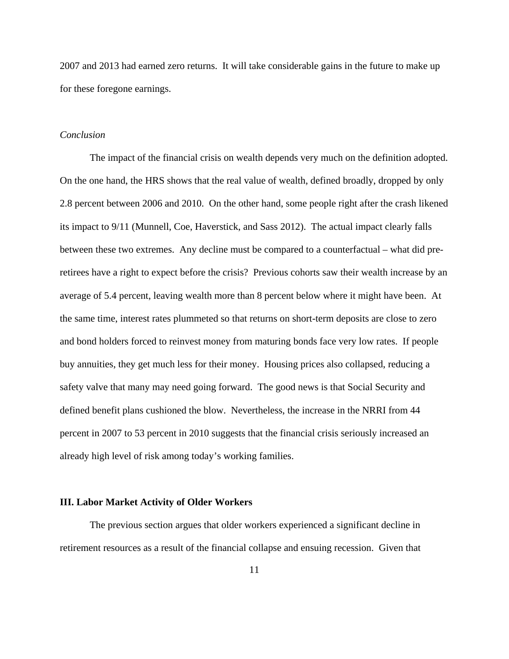2007 and 2013 had earned zero returns. It will take considerable gains in the future to make up for these foregone earnings.

#### *Conclusion*

The impact of the financial crisis on wealth depends very much on the definition adopted. On the one hand, the HRS shows that the real value of wealth, defined broadly, dropped by only 2.8 percent between 2006 and 2010. On the other hand, some people right after the crash likened its impact to 9/11 (Munnell, Coe, Haverstick, and Sass 2012). The actual impact clearly falls between these two extremes. Any decline must be compared to a counterfactual – what did preretirees have a right to expect before the crisis? Previous cohorts saw their wealth increase by an average of 5.4 percent, leaving wealth more than 8 percent below where it might have been. At the same time, interest rates plummeted so that returns on short-term deposits are close to zero and bond holders forced to reinvest money from maturing bonds face very low rates. If people buy annuities, they get much less for their money. Housing prices also collapsed, reducing a safety valve that many may need going forward. The good news is that Social Security and defined benefit plans cushioned the blow. Nevertheless, the increase in the NRRI from 44 percent in 2007 to 53 percent in 2010 suggests that the financial crisis seriously increased an already high level of risk among today's working families.

# **III. Labor Market Activity of Older Workers**

The previous section argues that older workers experienced a significant decline in retirement resources as a result of the financial collapse and ensuing recession. Given that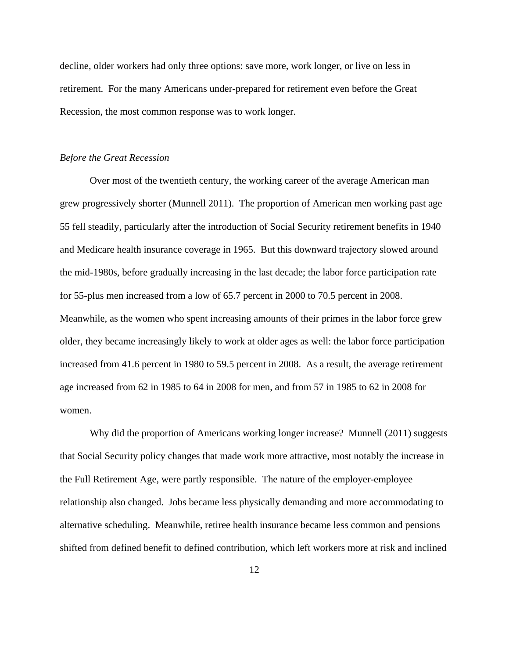decline, older workers had only three options: save more, work longer, or live on less in retirement. For the many Americans under-prepared for retirement even before the Great Recession, the most common response was to work longer.

# *Before the Great Recession*

Over most of the twentieth century, the working career of the average American man grew progressively shorter (Munnell 2011). The proportion of American men working past age 55 fell steadily, particularly after the introduction of Social Security retirement benefits in 1940 and Medicare health insurance coverage in 1965. But this downward trajectory slowed around the mid-1980s, before gradually increasing in the last decade; the labor force participation rate for 55-plus men increased from a low of 65.7 percent in 2000 to 70.5 percent in 2008. Meanwhile, as the women who spent increasing amounts of their primes in the labor force grew older, they became increasingly likely to work at older ages as well: the labor force participation increased from 41.6 percent in 1980 to 59.5 percent in 2008. As a result, the average retirement age increased from 62 in 1985 to 64 in 2008 for men, and from 57 in 1985 to 62 in 2008 for women.

Why did the proportion of Americans working longer increase? Munnell (2011) suggests that Social Security policy changes that made work more attractive, most notably the increase in the Full Retirement Age, were partly responsible. The nature of the employer-employee relationship also changed. Jobs became less physically demanding and more accommodating to alternative scheduling. Meanwhile, retiree health insurance became less common and pensions shifted from defined benefit to defined contribution, which left workers more at risk and inclined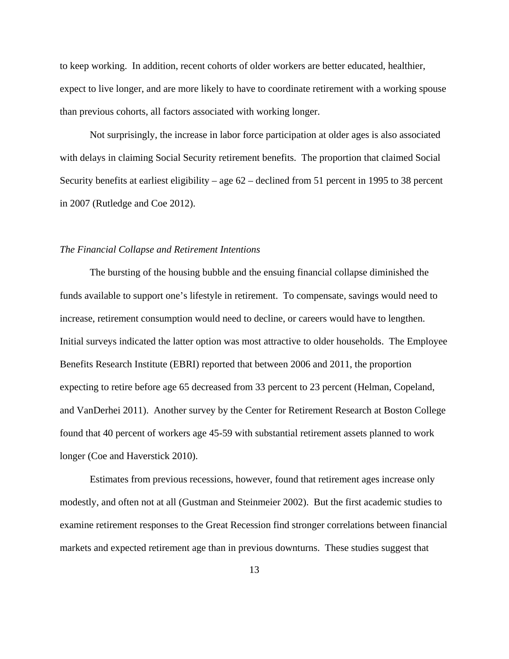to keep working. In addition, recent cohorts of older workers are better educated, healthier, expect to live longer, and are more likely to have to coordinate retirement with a working spouse than previous cohorts, all factors associated with working longer.

Not surprisingly, the increase in labor force participation at older ages is also associated with delays in claiming Social Security retirement benefits. The proportion that claimed Social Security benefits at earliest eligibility – age 62 – declined from 51 percent in 1995 to 38 percent in 2007 (Rutledge and Coe 2012).

#### *The Financial Collapse and Retirement Intentions*

The bursting of the housing bubble and the ensuing financial collapse diminished the funds available to support one's lifestyle in retirement. To compensate, savings would need to increase, retirement consumption would need to decline, or careers would have to lengthen. Initial surveys indicated the latter option was most attractive to older households. The Employee Benefits Research Institute (EBRI) reported that between 2006 and 2011, the proportion expecting to retire before age 65 decreased from 33 percent to 23 percent (Helman, Copeland, and VanDerhei 2011). Another survey by the Center for Retirement Research at Boston College found that 40 percent of workers age 45-59 with substantial retirement assets planned to work longer (Coe and Haverstick 2010).

Estimates from previous recessions, however, found that retirement ages increase only modestly, and often not at all (Gustman and Steinmeier 2002). But the first academic studies to examine retirement responses to the Great Recession find stronger correlations between financial markets and expected retirement age than in previous downturns. These studies suggest that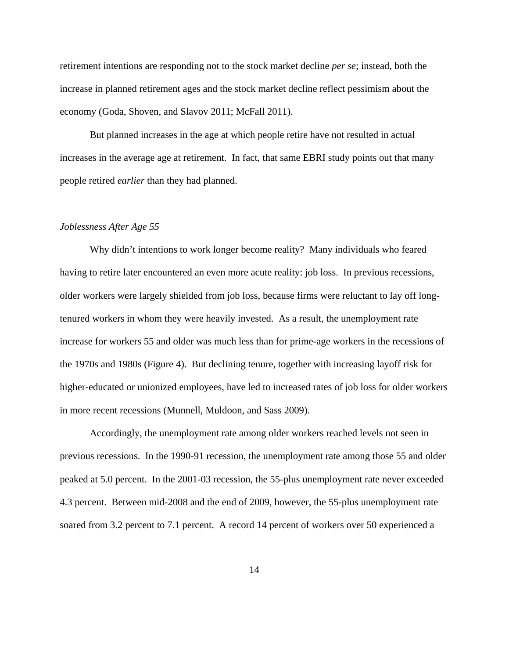retirement intentions are responding not to the stock market decline *per se*; instead, both the increase in planned retirement ages and the stock market decline reflect pessimism about the economy (Goda, Shoven, and Slavov 2011; McFall 2011).

But planned increases in the age at which people retire have not resulted in actual increases in the average age at retirement. In fact, that same EBRI study points out that many people retired *earlier* than they had planned.

#### *Joblessness After Age 55*

Why didn't intentions to work longer become reality? Many individuals who feared having to retire later encountered an even more acute reality: job loss. In previous recessions, older workers were largely shielded from job loss, because firms were reluctant to lay off longtenured workers in whom they were heavily invested. As a result, the unemployment rate increase for workers 55 and older was much less than for prime-age workers in the recessions of the 1970s and 1980s (Figure 4). But declining tenure, together with increasing layoff risk for higher-educated or unionized employees, have led to increased rates of job loss for older workers in more recent recessions (Munnell, Muldoon, and Sass 2009).

Accordingly, the unemployment rate among older workers reached levels not seen in previous recessions. In the 1990-91 recession, the unemployment rate among those 55 and older peaked at 5.0 percent. In the 2001-03 recession, the 55-plus unemployment rate never exceeded 4.3 percent. Between mid-2008 and the end of 2009, however, the 55-plus unemployment rate soared from 3.2 percent to 7.1 percent. A record 14 percent of workers over 50 experienced a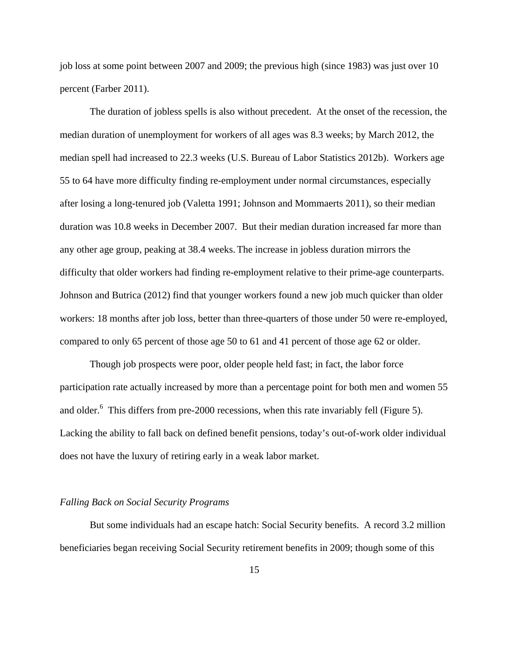job loss at some point between 2007 and 2009; the previous high (since 1983) was just over 10 percent (Farber 2011).

The duration of jobless spells is also without precedent. At the onset of the recession, the median duration of unemployment for workers of all ages was 8.3 weeks; by March 2012, the median spell had increased to 22.3 weeks (U.S. Bureau of Labor Statistics 2012b). Workers age 55 to 64 have more difficulty finding re-employment under normal circumstances, especially after losing a long-tenured job (Valetta 1991; Johnson and Mommaerts 2011), so their median duration was 10.8 weeks in December 2007. But their median duration increased far more than any other age group, peaking at 38.4 weeks. The increase in jobless duration mirrors the difficulty that older workers had finding re-employment relative to their prime-age counterparts. Johnson and Butrica (2012) find that younger workers found a new job much quicker than older workers: 18 months after job loss, better than three-quarters of those under 50 were re-employed, compared to only 65 percent of those age 50 to 61 and 41 percent of those age 62 or older.

Though job prospects were poor, older people held fast; in fact, the labor force participation rate actually increased by more than a percentage point for both men and women 55 and older.<sup>6</sup> This differs from pre-2000 recessions, when this rate invariably fell (Figure 5). Lacking the ability to fall back on defined benefit pensions, today's out-of-work older individual does not have the luxury of retiring early in a weak labor market.

# *Falling Back on Social Security Programs*

But some individuals had an escape hatch: Social Security benefits. A record 3.2 million beneficiaries began receiving Social Security retirement benefits in 2009; though some of this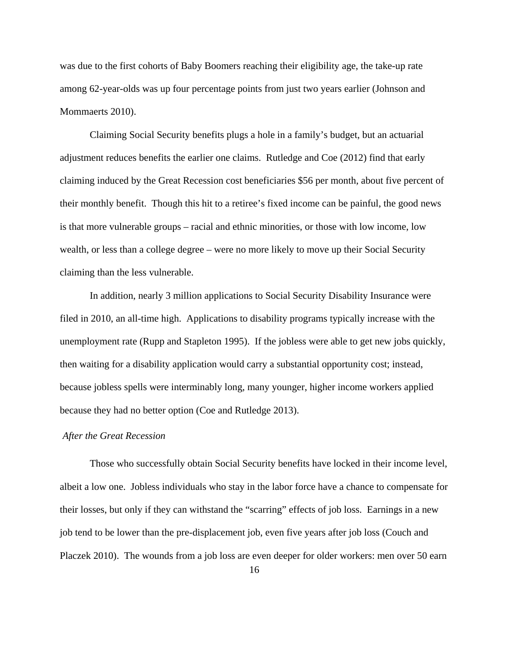was due to the first cohorts of Baby Boomers reaching their eligibility age, the take-up rate among 62-year-olds was up four percentage points from just two years earlier (Johnson and Mommaerts 2010).

Claiming Social Security benefits plugs a hole in a family's budget, but an actuarial adjustment reduces benefits the earlier one claims. Rutledge and Coe (2012) find that early claiming induced by the Great Recession cost beneficiaries \$56 per month, about five percent of their monthly benefit. Though this hit to a retiree's fixed income can be painful, the good news is that more vulnerable groups – racial and ethnic minorities, or those with low income, low wealth, or less than a college degree – were no more likely to move up their Social Security claiming than the less vulnerable.

In addition, nearly 3 million applications to Social Security Disability Insurance were filed in 2010, an all-time high. Applications to disability programs typically increase with the unemployment rate (Rupp and Stapleton 1995). If the jobless were able to get new jobs quickly, then waiting for a disability application would carry a substantial opportunity cost; instead, because jobless spells were interminably long, many younger, higher income workers applied because they had no better option (Coe and Rutledge 2013).

# *After the Great Recession*

Those who successfully obtain Social Security benefits have locked in their income level, albeit a low one. Jobless individuals who stay in the labor force have a chance to compensate for their losses, but only if they can withstand the "scarring" effects of job loss. Earnings in a new job tend to be lower than the pre-displacement job, even five years after job loss (Couch and Placzek 2010). The wounds from a job loss are even deeper for older workers: men over 50 earn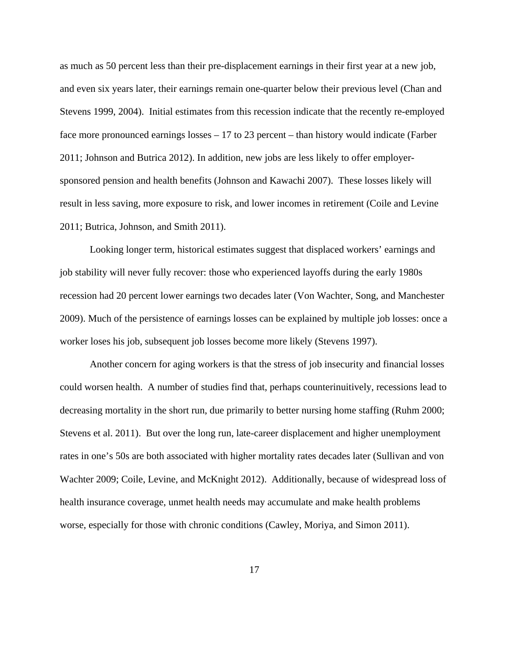as much as 50 percent less than their pre-displacement earnings in their first year at a new job, and even six years later, their earnings remain one-quarter below their previous level (Chan and Stevens 1999, 2004). Initial estimates from this recession indicate that the recently re-employed face more pronounced earnings losses – 17 to 23 percent – than history would indicate (Farber 2011; Johnson and Butrica 2012). In addition, new jobs are less likely to offer employersponsored pension and health benefits (Johnson and Kawachi 2007). These losses likely will result in less saving, more exposure to risk, and lower incomes in retirement (Coile and Levine 2011; Butrica, Johnson, and Smith 2011).

Looking longer term, historical estimates suggest that displaced workers' earnings and job stability will never fully recover: those who experienced layoffs during the early 1980s recession had 20 percent lower earnings two decades later (Von Wachter, Song, and Manchester 2009). Much of the persistence of earnings losses can be explained by multiple job losses: once a worker loses his job, subsequent job losses become more likely (Stevens 1997).

Another concern for aging workers is that the stress of job insecurity and financial losses could worsen health. A number of studies find that, perhaps counterinuitively, recessions lead to decreasing mortality in the short run, due primarily to better nursing home staffing (Ruhm 2000; Stevens et al. 2011). But over the long run, late-career displacement and higher unemployment rates in one's 50s are both associated with higher mortality rates decades later (Sullivan and von Wachter 2009; Coile, Levine, and McKnight 2012). Additionally, because of widespread loss of health insurance coverage, unmet health needs may accumulate and make health problems worse, especially for those with chronic conditions (Cawley, Moriya, and Simon 2011).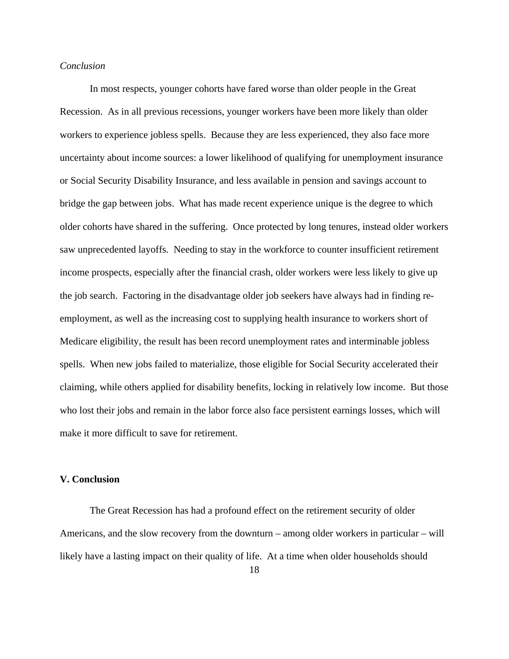# *Conclusion*

In most respects, younger cohorts have fared worse than older people in the Great Recession. As in all previous recessions, younger workers have been more likely than older workers to experience jobless spells. Because they are less experienced, they also face more uncertainty about income sources: a lower likelihood of qualifying for unemployment insurance or Social Security Disability Insurance, and less available in pension and savings account to bridge the gap between jobs. What has made recent experience unique is the degree to which older cohorts have shared in the suffering. Once protected by long tenures, instead older workers saw unprecedented layoffs. Needing to stay in the workforce to counter insufficient retirement income prospects, especially after the financial crash, older workers were less likely to give up the job search. Factoring in the disadvantage older job seekers have always had in finding reemployment, as well as the increasing cost to supplying health insurance to workers short of Medicare eligibility, the result has been record unemployment rates and interminable jobless spells. When new jobs failed to materialize, those eligible for Social Security accelerated their claiming, while others applied for disability benefits, locking in relatively low income. But those who lost their jobs and remain in the labor force also face persistent earnings losses, which will make it more difficult to save for retirement.

### **V. Conclusion**

The Great Recession has had a profound effect on the retirement security of older Americans, and the slow recovery from the downturn – among older workers in particular – will likely have a lasting impact on their quality of life. At a time when older households should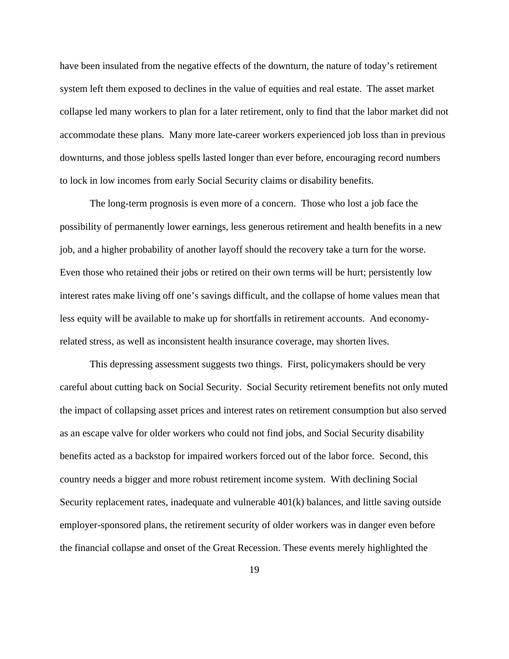have been insulated from the negative effects of the downturn, the nature of today's retirement system left them exposed to declines in the value of equities and real estate. The asset market collapse led many workers to plan for a later retirement, only to find that the labor market did not accommodate these plans. Many more late-career workers experienced job loss than in previous downturns, and those jobless spells lasted longer than ever before, encouraging record numbers to lock in low incomes from early Social Security claims or disability benefits.

The long-term prognosis is even more of a concern. Those who lost a job face the possibility of permanently lower earnings, less generous retirement and health benefits in a new job, and a higher probability of another layoff should the recovery take a turn for the worse. Even those who retained their jobs or retired on their own terms will be hurt; persistently low interest rates make living off one's savings difficult, and the collapse of home values mean that less equity will be available to make up for shortfalls in retirement accounts. And economyrelated stress, as well as inconsistent health insurance coverage, may shorten lives.

This depressing assessment suggests two things. First, policymakers should be very careful about cutting back on Social Security. Social Security retirement benefits not only muted the impact of collapsing asset prices and interest rates on retirement consumption but also served as an escape valve for older workers who could not find jobs, and Social Security disability benefits acted as a backstop for impaired workers forced out of the labor force. Second, this country needs a bigger and more robust retirement income system. With declining Social Security replacement rates, inadequate and vulnerable 401(k) balances, and little saving outside employer-sponsored plans, the retirement security of older workers was in danger even before the financial collapse and onset of the Great Recession. These events merely highlighted the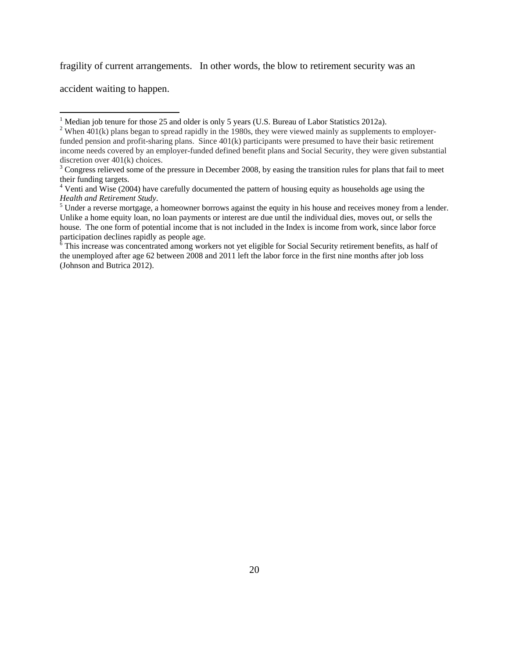fragility of current arrangements. In other words, the blow to retirement security was an

accident waiting to happen.

the unemployed after age 62 between 2008 and 2011 left the labor force in the first nine months after job loss (Johnson and Butrica 2012).

 $<sup>1</sup>$  Median job tenure for those 25 and older is only 5 years (U.S. Bureau of Labor Statistics 2012a).</sup>

<sup>&</sup>lt;sup>2</sup> When  $401(k)$  plans began to spread rapidly in the 1980s, they were viewed mainly as supplements to employerfunded pension and profit-sharing plans. Since 401(k) participants were presumed to have their basic retirement income needs covered by an employer-funded defined benefit plans and Social Security, they were given substantial discretion over 401(k) choices.

 $3$  Congress relieved some of the pressure in December 2008, by easing the transition rules for plans that fail to meet their funding targets.

<sup>&</sup>lt;sup>4</sup> Venti and Wise (2004) have carefully documented the pattern of housing equity as households age using the **Health and Retirement Study.** 

Under a reverse mortgage, a homeowner borrows against the equity in his house and receives money from a lender. Unlike a home equity loan, no loan payments or interest are due until the individual dies, moves out, or sells the house. The one form of potential income that is not included in the Index is income from work, since labor force participation declines rapidly as people age.<br><sup>6</sup> This increase was concentrated among workers not yet eligible for Social Security retirement benefits, as half of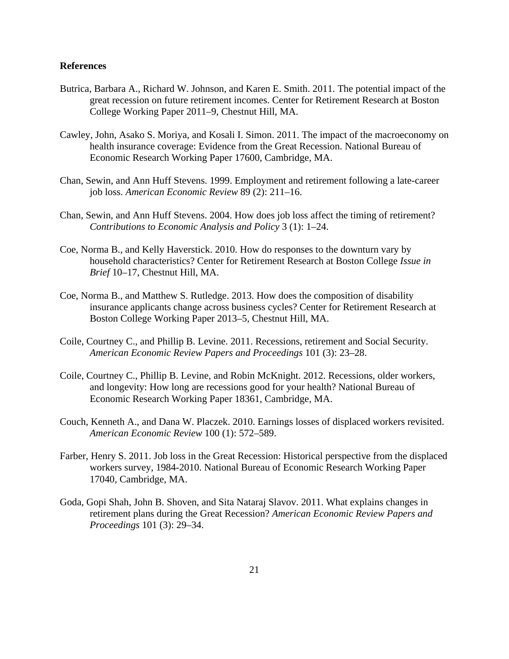# **References**

- Butrica, Barbara A., Richard W. Johnson, and Karen E. Smith. 2011. The potential impact of the great recession on future retirement incomes. Center for Retirement Research at Boston College Working Paper 2011–9, Chestnut Hill, MA.
- Cawley, John, Asako S. Moriya, and Kosali I. Simon. 2011. The impact of the macroeconomy on health insurance coverage: Evidence from the Great Recession. National Bureau of Economic Research Working Paper 17600, Cambridge, MA.
- Chan, Sewin, and Ann Huff Stevens. 1999. Employment and retirement following a late-career job loss. *American Economic Review* 89 (2): 211–16.
- Chan, Sewin, and Ann Huff Stevens. 2004. How does job loss affect the timing of retirement? *Contributions to Economic Analysis and Policy* 3 (1): 1–24.
- Coe, Norma B., and Kelly Haverstick. 2010. How do responses to the downturn vary by household characteristics? Center for Retirement Research at Boston College *Issue in Brief* 10–17, Chestnut Hill, MA.
- Coe, Norma B., and Matthew S. Rutledge. 2013. How does the composition of disability insurance applicants change across business cycles? Center for Retirement Research at Boston College Working Paper 2013–5, Chestnut Hill, MA.
- Coile, Courtney C., and Phillip B. Levine. 2011. Recessions, retirement and Social Security. *American Economic Review Papers and Proceedings* 101 (3): 23–28.
- Coile, Courtney C., Phillip B. Levine, and Robin McKnight. 2012. Recessions, older workers, and longevity: How long are recessions good for your health? National Bureau of Economic Research Working Paper 18361, Cambridge, MA.
- Couch, Kenneth A., and Dana W. Placzek. 2010. Earnings losses of displaced workers revisited. *American Economic Review* 100 (1): 572–589.
- Farber, Henry S. 2011. Job loss in the Great Recession: Historical perspective from the displaced workers survey, 1984-2010. National Bureau of Economic Research Working Paper 17040, Cambridge, MA.
- Goda, Gopi Shah, John B. Shoven, and Sita Nataraj Slavov. 2011. What explains changes in retirement plans during the Great Recession? *American Economic Review Papers and Proceedings* 101 (3): 29–34.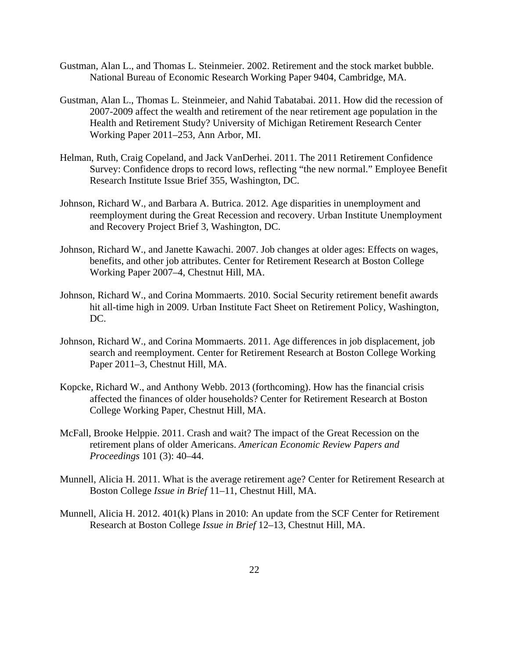- Gustman, Alan L., and Thomas L. Steinmeier. 2002. Retirement and the stock market bubble. National Bureau of Economic Research Working Paper 9404, Cambridge, MA.
- Gustman, Alan L., Thomas L. Steinmeier, and Nahid Tabatabai. 2011. How did the recession of 2007-2009 affect the wealth and retirement of the near retirement age population in the Health and Retirement Study? University of Michigan Retirement Research Center Working Paper 2011–253, Ann Arbor, MI.
- Helman, Ruth, Craig Copeland, and Jack VanDerhei. 2011. The 2011 Retirement Confidence Survey: Confidence drops to record lows, reflecting "the new normal." Employee Benefit Research Institute Issue Brief 355, Washington, DC.
- Johnson, Richard W., and Barbara A. Butrica. 2012. Age disparities in unemployment and reemployment during the Great Recession and recovery. Urban Institute Unemployment and Recovery Project Brief 3, Washington, DC.
- Johnson, Richard W., and Janette Kawachi. 2007. Job changes at older ages: Effects on wages, benefits, and other job attributes. Center for Retirement Research at Boston College Working Paper 2007–4, Chestnut Hill, MA.
- Johnson, Richard W., and Corina Mommaerts. 2010. Social Security retirement benefit awards hit all-time high in 2009. Urban Institute Fact Sheet on Retirement Policy, Washington, DC.
- Johnson, Richard W., and Corina Mommaerts. 2011. Age differences in job displacement, job search and reemployment. Center for Retirement Research at Boston College Working Paper 2011–3, Chestnut Hill, MA.
- Kopcke, Richard W., and Anthony Webb. 2013 (forthcoming). How has the financial crisis affected the finances of older households? Center for Retirement Research at Boston College Working Paper, Chestnut Hill, MA.
- McFall, Brooke Helppie. 2011. Crash and wait? The impact of the Great Recession on the retirement plans of older Americans. *American Economic Review Papers and Proceedings* 101 (3): 40–44.
- Munnell, Alicia H. 2011. What is the average retirement age? Center for Retirement Research at Boston College *Issue in Brief* 11–11, Chestnut Hill, MA.
- Munnell, Alicia H. 2012. 401(k) Plans in 2010: An update from the SCF Center for Retirement Research at Boston College *Issue in Brief* 12–13, Chestnut Hill, MA.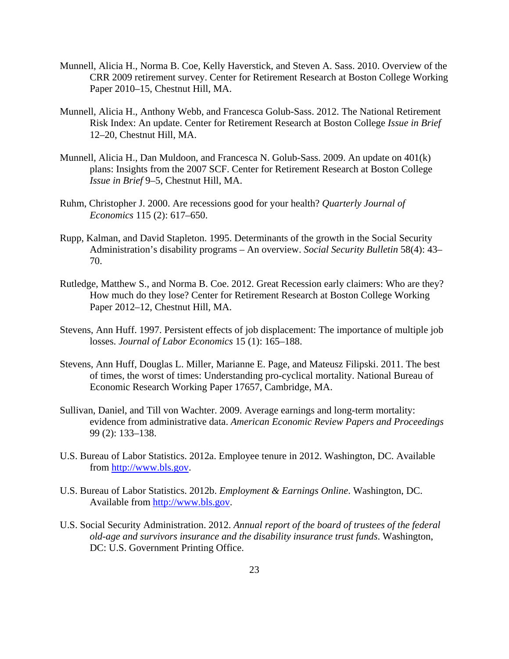- Munnell, Alicia H., Norma B. Coe, Kelly Haverstick, and Steven A. Sass. 2010. Overview of the CRR 2009 retirement survey. Center for Retirement Research at Boston College Working Paper 2010–15, Chestnut Hill, MA.
- Munnell, Alicia H., Anthony Webb, and Francesca Golub-Sass. 2012. The National Retirement Risk Index: An update. Center for Retirement Research at Boston College *Issue in Brief* 12–20, Chestnut Hill, MA.
- Munnell, Alicia H., Dan Muldoon, and Francesca N. Golub-Sass. 2009. An update on 401(k) plans: Insights from the 2007 SCF. Center for Retirement Research at Boston College *Issue in Brief* 9–5, Chestnut Hill, MA.
- Ruhm, Christopher J. 2000. Are recessions good for your health? *Quarterly Journal of Economics* 115 (2): 617–650.
- Rupp, Kalman, and David Stapleton. 1995. Determinants of the growth in the Social Security Administration's disability programs – An overview. *Social Security Bulletin* 58(4): 43– 70.
- Rutledge, Matthew S., and Norma B. Coe. 2012. Great Recession early claimers: Who are they? How much do they lose? Center for Retirement Research at Boston College Working Paper 2012–12, Chestnut Hill, MA.
- Stevens, Ann Huff. 1997. Persistent effects of job displacement: The importance of multiple job losses. *Journal of Labor Economics* 15 (1): 165–188.
- Stevens, Ann Huff, Douglas L. Miller, Marianne E. Page, and Mateusz Filipski. 2011. The best of times, the worst of times: Understanding pro-cyclical mortality. National Bureau of Economic Research Working Paper 17657, Cambridge, MA.
- Sullivan, Daniel, and Till von Wachter. 2009. Average earnings and long-term mortality: evidence from administrative data. *American Economic Review Papers and Proceedings* 99 (2): 133–138.
- U.S. Bureau of Labor Statistics. 2012a. Employee tenure in 2012. Washington, DC. Available from http://www.bls.gov.
- U.S. Bureau of Labor Statistics. 2012b. *Employment & Earnings Online*. Washington, DC. Available from http://www.bls.gov.
- U.S. Social Security Administration. 2012. *Annual report of the board of trustees of the federal old-age and survivors insurance and the disability insurance trust funds*. Washington, DC: U.S. Government Printing Office.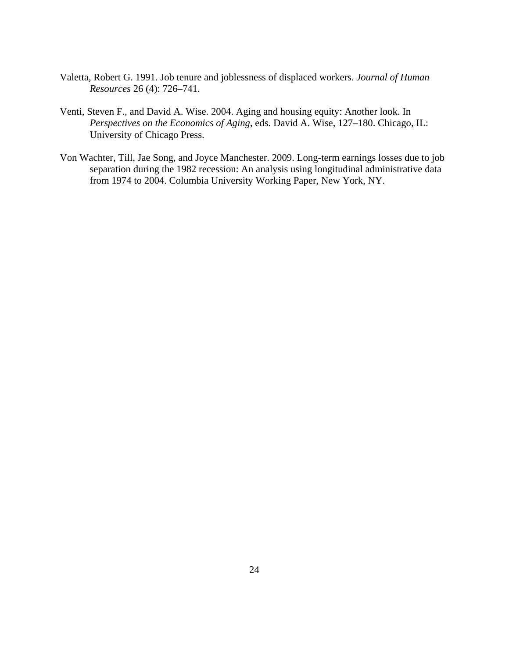- Valetta, Robert G. 1991. Job tenure and joblessness of displaced workers. *Journal of Human Resources* 26 (4): 726–741.
- Venti, Steven F., and David A. Wise. 2004. Aging and housing equity: Another look. In *Perspectives on the Economics of Aging*, eds. David A. Wise, 127–180. Chicago, IL: University of Chicago Press.
- Von Wachter, Till, Jae Song, and Joyce Manchester. 2009. Long-term earnings losses due to job separation during the 1982 recession: An analysis using longitudinal administrative data from 1974 to 2004. Columbia University Working Paper, New York, NY.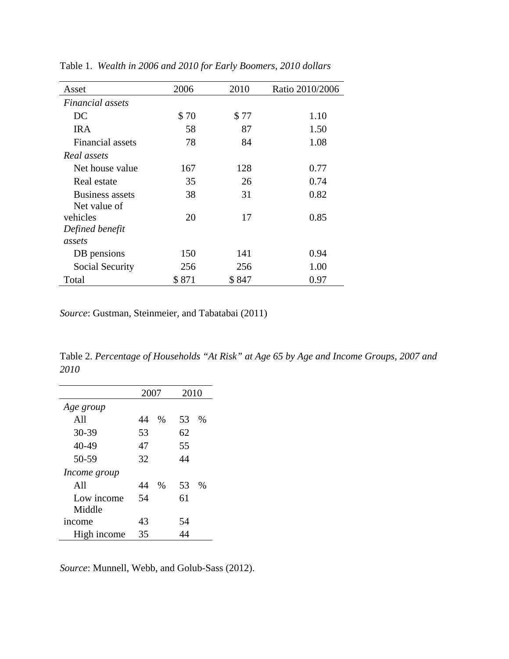| Asset                  | 2006  | 2010  | Ratio 2010/2006 |
|------------------------|-------|-------|-----------------|
| Financial assets       |       |       |                 |
| DC                     | \$70  | \$77  | 1.10            |
| <b>IRA</b>             | 58    | 87    | 1.50            |
| Financial assets       | 78    | 84    | 1.08            |
| Real assets            |       |       |                 |
| Net house value        | 167   | 128   | 0.77            |
| Real estate            | 35    | 26    | 0.74            |
| <b>Business assets</b> | 38    | 31    | 0.82            |
| Net value of           |       |       |                 |
| vehicles               | 20    | 17    | 0.85            |
| Defined benefit        |       |       |                 |
| assets                 |       |       |                 |
| DB pensions            | 150   | 141   | 0.94            |
| Social Security        | 256   | 256   | 1.00            |
| Total                  | \$871 | \$847 | 0.97            |

Table 1. *Wealth in 2006 and 2010 for Early Boomers, 2010 dollars*

*Source*: Gustman, Steinmeier, and Tabatabai (2011)

Table 2. *Percentage of Households "At Risk" at Age 65 by Age and Income Groups, 2007 and 2010* 

| 2007 |               | 2010 |               |
|------|---------------|------|---------------|
|      |               |      |               |
| 44   | $\%$          | 53   | $\frac{0}{0}$ |
| 53   |               | 62   |               |
| 47   |               | 55   |               |
| 32   |               | 44   |               |
|      |               |      |               |
| 44   | $\frac{0}{0}$ | 53   | $\frac{0}{0}$ |
| 54   |               | 61   |               |
|      |               |      |               |
| 43   |               | 54   |               |
| 35   |               |      |               |
|      |               |      |               |

*Source*: Munnell, Webb, and Golub-Sass (2012).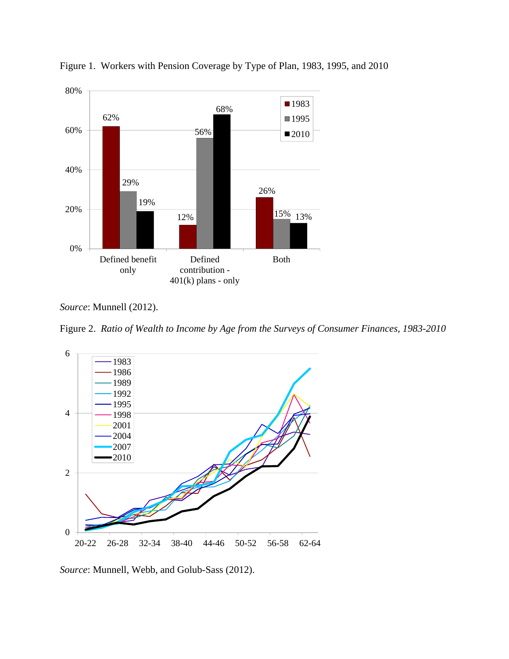

Figure 1. Workers with Pension Coverage by Type of Plan, 1983, 1995, and 2010

*Source*: Munnell (2012).

Figure 2. *Ratio of Wealth to Income by Age from the Surveys of Consumer Finances, 1983-2010* 



*Source*: Munnell, Webb, and Golub-Sass (2012).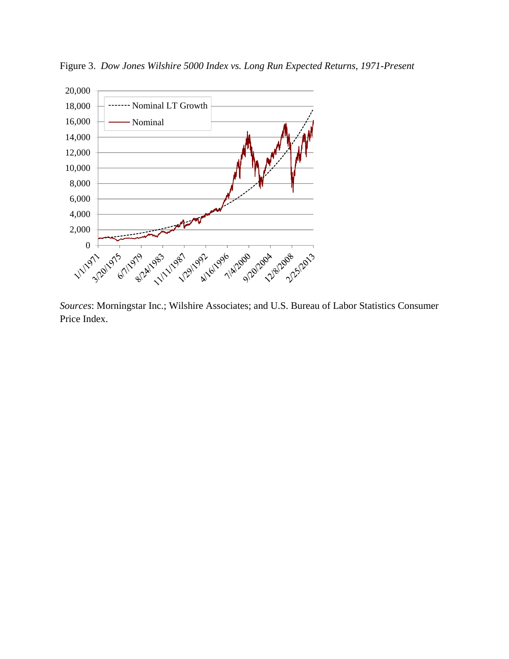

Figure 3. *Dow Jones Wilshire 5000 Index vs. Long Run Expected Returns, 1971-Present* 

*Sources*: Morningstar Inc.; Wilshire Associates; and U.S. Bureau of Labor Statistics Consumer Price Index.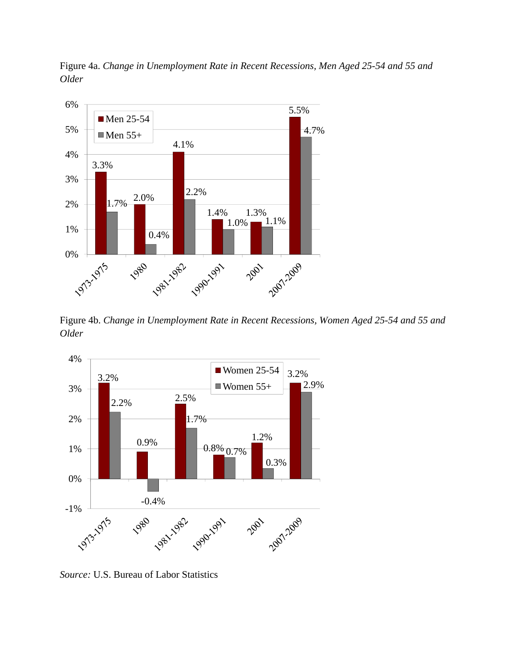Figure 4a. *Change in Unemployment Rate in Recent Recessions, Men Aged 25-54 and 55 and Older* 



Figure 4b. *Change in Unemployment Rate in Recent Recessions, Women Aged 25-54 and 55 and Older* 



*Source:* U.S. Bureau of Labor Statistics